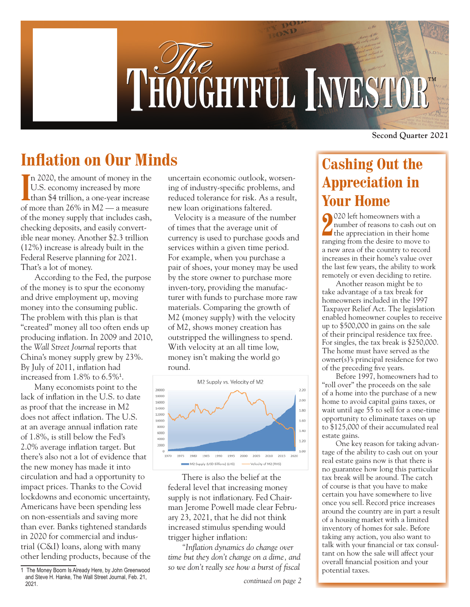

## **Inflation on Our Minds**

In 2020, the amount of money in the<br>U.S. economy increased by more<br>than \$4 trillion, a one-year increase n 2020, the amount of money in the U.S. economy increased by more of more than 26% in M2 — a measure of the money supply that includes cash, checking deposits, and easily convertible near money. Another \$2.3 trillion (12%) increase is already built in the Federal Reserve planning for 2021. That's a lot of money.

According to the Fed, the purpose of the money is to spur the economy and drive employment up, moving money into the consuming public. The problem with this plan is that "created" money all too often ends up producing inflation. In 2009 and 2010, the *Wall Street Journal* reports that China's money supply grew by 23%. By July of 2011, inflation had increased from 1.8% to 6.5%<sup>1</sup> .

Many economists point to the lack of inflation in the U.S. to date as proof that the increase in M2 does not affect inflation. The U.S. at an average annual inflation rate of 1.8%, is still below the Fed's 2.0% average inflation target. But there's also not a lot of evidence that the new money has made it into circulation and had a opportunity to impact prices. Thanks to the Covid lockdowns and economic uncertainty, Americans have been spending less on non-essentials and saving more than ever. Banks tightened standards in 2020 for commercial and industrial (C&I) loans, along with many other lending products, because of the

uncertain economic outlook, worsening of industry-specific problems, and reduced tolerance for risk. As a result, new loan originations faltered.

 Velocity is a measure of the number of times that the average unit of currency is used to purchase goods and services within a given time period. For example, when you purchase a pair of shoes, your money may be used by the store owner to purchase more inven-tory, providing the manufacturer with funds to purchase more raw materials. Comparing the growth of M2 (money supply) with the velocity of M2, shows money creation has outstripped the willingness to spend. With velocity at an all time low, money isn't making the world go round.



There is also the belief at the federal level that increasing money supply is not inflationary. Fed Chairman Jerome Powell made clear February 23, 2021, that he did not think increased stimulus spending would trigger higher inflation:

*"Inflation dynamics do change over time but they don't change on a dime, and so we don't really see how a burst of fiscal* 

**Second Quarter 2021**

## **Cashing Out the Appreciation in Your Home**

**2**<br>
2 university of reasons to cash out of<br>
the appreciation in their home 020 left homeowners with a number of reasons to cash out on ranging from the desire to move to a new area of the country to record increases in their home's value over the last few years, the ability to work remotely or even deciding to retire.

Another reason might be to take advantage of a tax break for homeowners included in the 1997 Taxpayer Relief Act. The legislation enabled homeowner couples to receive up to \$500,000 in gains on the sale of their principal residence tax free. For singles, the tax break is \$250,000. The home must have served as the owner(s)'s principal residence for two of the preceding five years.

Before 1997, homeowners had to "roll over" the proceeds on the sale of a home into the purchase of a new home to avoid capital gains taxes, or wait until age 55 to sell for a one-time opportunity to eliminate taxes on up to \$125,000 of their accumulated real estate gains.

One key reason for taking advantage of the ability to cash out on your real estate gains now is that there is no guarantee how long this particular tax break will be around. The catch of course is that you have to make certain you have somewhere to live once you sell. Record price increases around the country are in part a result of a housing market with a limited inventory of homes for sale. Before taking any action, you also want to talk with your financial or tax consultant on how the sale will affect your overall financial position and your potential taxes.

<sup>1</sup> The Money Boom Is Already Here, by John Greenwood and Steve H. Hanke, The Wall Street Journal, Feb. 21, 2021.